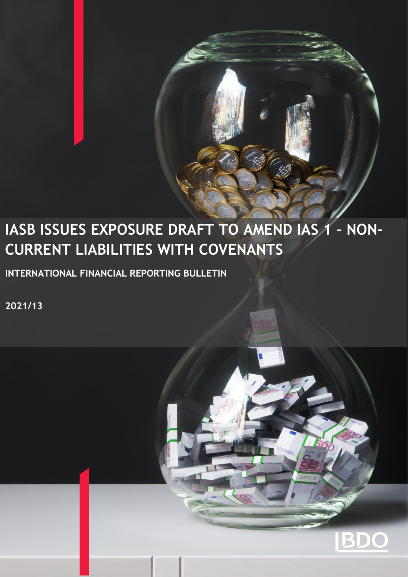# **IASB ISSUES EXPOSURE DRAFT TO AMEND IAS 1 – NON-CURRENT LIABILITIES WITH COVENANTS**

**INTERNATIONAL FINANCIAL REPORTING BULLETIN** 

**2021/13**

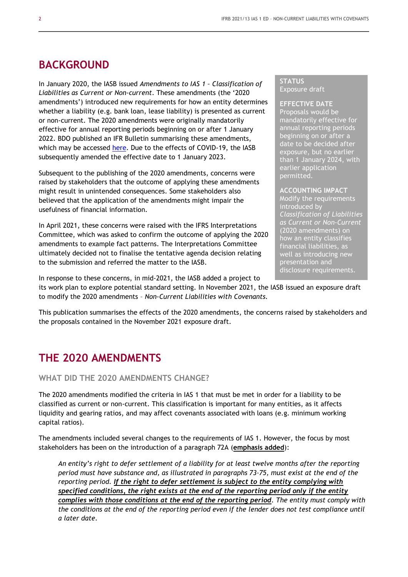# **BACKGROUND**

In January 2020, the IASB issued *Amendments to IAS 1 – Classification of Liabilities as Current or Non-current*. These amendments (the '2020 amendments') introduced new requirements for how an entity determines whether a liability (e.g. bank loan, lease liability) is presented as current or non-current. The 2020 amendments were originally mandatorily effective for annual reporting periods beginning on or after 1 January 2022. BDO published an IFR Bulletin summarising these amendments, which may be accessed [here.](https://www.bdo.global/getmedia/873aa535-5413-4b8e-89a9-88054d3b5593/IFRB-2020-01-Amendments-to-IAS-1-(liability-classification).aspx) Due to the effects of COVID-19, the IASB subsequently amended the effective date to 1 January 2023.

Subsequent to the publishing of the 2020 amendments, concerns were raised by stakeholders that the outcome of applying these amendments might result in unintended consequences. Some stakeholders also believed that the application of the amendments might impair the usefulness of financial information.

In April 2021, these concerns were raised with the IFRS Interpretations Committee, which was asked to confirm the outcome of applying the 2020 amendments to example fact patterns. The Interpretations Committee ultimately decided not to finalise the tentative agenda decision relating to the submission and referred the matter to the IASB.

#### **STATUS** Exposure draft

#### **EFFECTIVE DATE**

Proposals would be mandatorily effective for annual reporting periods beginning on or after a date to be decided after exposure, but no earlier than 1 January 2024, with earlier application permitted.

#### **ACCOUNTING IMPACT**

Modify the requirements introduced by *Classification of Liabilities as Current or Non-Current*  (2020 amendments) on how an entity classifies financial liabilities, as well as introducing new presentation and disclosure requirements.

In response to these concerns, in mid-2021, the IASB added a project to

its work plan to explore potential standard setting. In November 2021, the IASB issued an exposure draft to modify the 2020 amendments – *Non-Current Liabilities with Covenants.*

This publication summarises the effects of the 2020 amendments, the concerns raised by stakeholders and the proposals contained in the November 2021 exposure draft.

# **THE 2020 AMENDMENTS**

**WHAT DID THE 2020 AMENDMENTS CHANGE?** 

The 2020 amendments modified the criteria in IAS 1 that must be met in order for a liability to be classified as current or non-current. This classification is important for many entities, as it affects liquidity and gearing ratios, and may affect covenants associated with loans (e.g. minimum working capital ratios).

The amendments included several changes to the requirements of IAS 1. However, the focus by most stakeholders has been on the introduction of a paragraph 72A (**emphasis added**):

*An entity's right to defer settlement of a liability for at least twelve months after the reporting period must have substance and, as illustrated in paragraphs 73–75, must exist at the end of the reporting period. If the right to defer settlement is subject to the entity complying with specified conditions, the right exists at the end of the reporting period only if the entity complies with those conditions at the end of the reporting period. The entity must comply with the conditions at the end of the reporting period even if the lender does not test compliance until a later date.*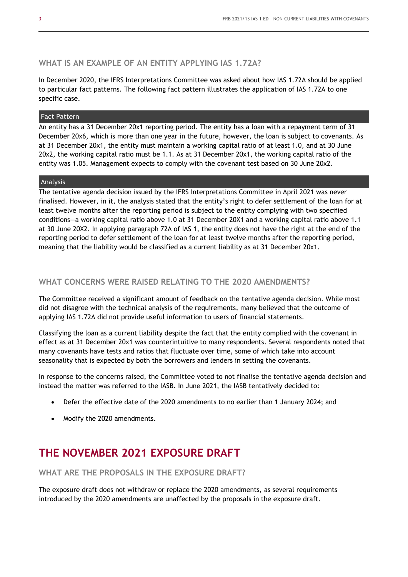## **WHAT IS AN EXAMPLE OF AN ENTITY APPLYING IAS 1.72A?**

In December 2020, the IFRS Interpretations Committee was asked about how IAS 1.72A should be applied to particular fact patterns. The following fact pattern illustrates the application of IAS 1.72A to one specific case.

#### Fact Pattern

An entity has a 31 December 20x1 reporting period. The entity has a loan with a repayment term of 31 December 20x6, which is more than one year in the future, however, the loan is subject to covenants. As at 31 December 20x1, the entity must maintain a working capital ratio of at least 1.0, and at 30 June 20x2, the working capital ratio must be 1.1. As at 31 December 20x1, the working capital ratio of the entity was 1.05. Management expects to comply with the covenant test based on 30 June 20x2.

#### Analysis

The tentative agenda decision issued by the IFRS Interpretations Committee in April 2021 was never finalised. However, in it, the analysis stated that the entity's right to defer settlement of the loan for at least twelve months after the reporting period is subject to the entity complying with two specified conditions—a working capital ratio above 1.0 at 31 December 20X1 and a working capital ratio above 1.1 at 30 June 20X2. In applying paragraph 72A of IAS 1, the entity does not have the right at the end of the reporting period to defer settlement of the loan for at least twelve months after the reporting period, meaning that the liability would be classified as a current liability as at 31 December 20x1.

## **WHAT CONCERNS WERE RAISED RELATING TO THE 2020 AMENDMENTS?**

The Committee received a significant amount of feedback on the tentative agenda decision. While most did not disagree with the technical analysis of the requirements, many believed that the outcome of applying IAS 1.72A did not provide useful information to users of financial statements.

Classifying the loan as a current liability despite the fact that the entity complied with the covenant in effect as at 31 December 20x1 was counterintuitive to many respondents. Several respondents noted that many covenants have tests and ratios that fluctuate over time, some of which take into account seasonality that is expected by both the borrowers and lenders in setting the covenants.

In response to the concerns raised, the Committee voted to not finalise the tentative agenda decision and instead the matter was referred to the IASB. In June 2021, the IASB tentatively decided to:

- Defer the effective date of the 2020 amendments to no earlier than 1 January 2024; and
- Modify the 2020 amendments.

# **THE NOVEMBER 2021 EXPOSURE DRAFT**

**WHAT ARE THE PROPOSALS IN THE EXPOSURE DRAFT?** 

The exposure draft does not withdraw or replace the 2020 amendments, as several requirements introduced by the 2020 amendments are unaffected by the proposals in the exposure draft.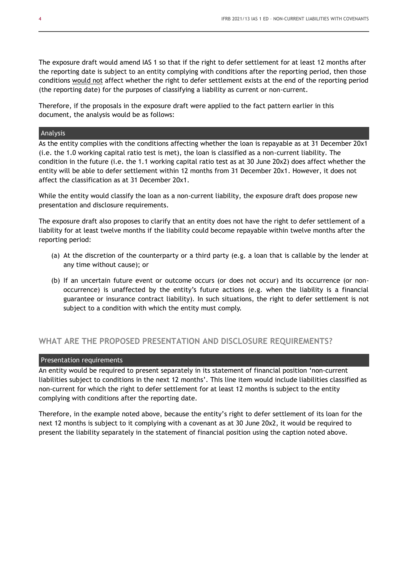The exposure draft would amend IAS 1 so that if the right to defer settlement for at least 12 months after the reporting date is subject to an entity complying with conditions after the reporting period, then those conditions would not affect whether the right to defer settlement exists at the end of the reporting period (the reporting date) for the purposes of classifying a liability as current or non-current.

Therefore, if the proposals in the exposure draft were applied to the fact pattern earlier in this document, the analysis would be as follows:

#### Analysis

As the entity complies with the conditions affecting whether the loan is repayable as at 31 December 20x1 (i.e. the 1.0 working capital ratio test is met), the loan is classified as a non-current liability. The condition in the future (i.e. the 1.1 working capital ratio test as at 30 June 20x2) does affect whether the entity will be able to defer settlement within 12 months from 31 December 20x1. However, it does not affect the classification as at 31 December 20x1.

While the entity would classify the loan as a non-current liability, the exposure draft does propose new presentation and disclosure requirements.

The exposure draft also proposes to clarify that an entity does not have the right to defer settlement of a liability for at least twelve months if the liability could become repayable within twelve months after the reporting period:

- (a) At the discretion of the counterparty or a third party (e.g. a loan that is callable by the lender at any time without cause); or
- (b) If an uncertain future event or outcome occurs (or does not occur) and its occurrence (or nonoccurrence) is unaffected by the entity's future actions (e.g. when the liability is a financial guarantee or insurance contract liability). In such situations, the right to defer settlement is not subject to a condition with which the entity must comply.

## **WHAT ARE THE PROPOSED PRESENTATION AND DISCLOSURE REQUIREMENTS?**

#### Presentation requirements

An entity would be required to present separately in its statement of financial position 'non-current liabilities subject to conditions in the next 12 months'. This line item would include liabilities classified as non-current for which the right to defer settlement for at least 12 months is subject to the entity complying with conditions after the reporting date.

Therefore, in the example noted above, because the entity's right to defer settlement of its loan for the next 12 months is subject to it complying with a covenant as at 30 June 20x2, it would be required to present the liability separately in the statement of financial position using the caption noted above.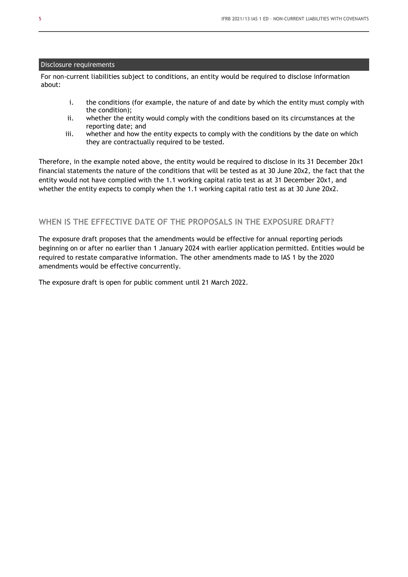#### Disclosure requirements

For non-current liabilities subject to conditions, an entity would be required to disclose information about:

- i. the conditions (for example, the nature of and date by which the entity must comply with the condition);
- ii. whether the entity would comply with the conditions based on its circumstances at the reporting date; and
- iii. whether and how the entity expects to comply with the conditions by the date on which they are contractually required to be tested.

Therefore, in the example noted above, the entity would be required to disclose in its 31 December 20x1 financial statements the nature of the conditions that will be tested as at 30 June 20x2, the fact that the entity would not have complied with the 1.1 working capital ratio test as at 31 December 20x1, and whether the entity expects to comply when the 1.1 working capital ratio test as at 30 June 20x2.

## **WHEN IS THE EFFECTIVE DATE OF THE PROPOSALS IN THE EXPOSURE DRAFT?**

The exposure draft proposes that the amendments would be effective for annual reporting periods beginning on or after no earlier than 1 January 2024 with earlier application permitted. Entities would be required to restate comparative information. The other amendments made to IAS 1 by the 2020 amendments would be effective concurrently.

The exposure draft is open for public comment until 21 March 2022.